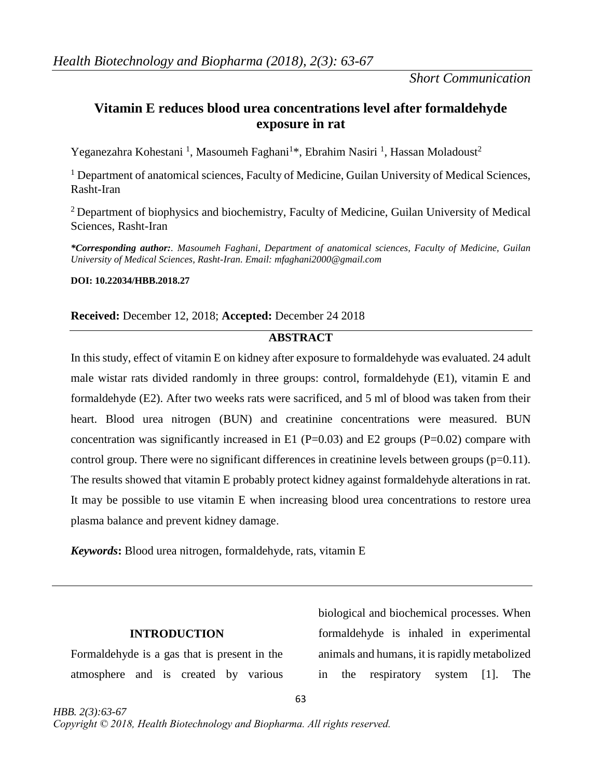# **Vitamin E reduces blood urea concentrations level after formaldehyde exposure in rat**

Yeganezahra Kohestani<sup>1</sup>, Masoumeh Faghani<sup>1\*</sup>, Ebrahim Nasiri<sup>1</sup>, Hassan Moladoust<sup>2</sup>

 $<sup>1</sup>$  Department of anatomical sciences, Faculty of Medicine, Guilan University of Medical Sciences,</sup> Rasht-Iran

 $2$  Department of biophysics and biochemistry, Faculty of Medicine, Guilan University of Medical Sciences, Rasht-Iran

*\*Corresponding author:. Masoumeh Faghani, Department of anatomical sciences, Faculty of Medicine, Guilan University of Medical Sciences, Rasht-Iran. Email: mfaghani2000@gmail.com*

## **DOI: 10.22034/HBB.2018.27**

## **Received:** December 12, 2018; **Accepted:** December 24 2018

## **ABSTRACT**

In this study, effect of vitamin E on kidney after exposure to formaldehyde was evaluated. 24 adult male wistar rats divided randomly in three groups: control, formaldehyde (E1), vitamin E and formaldehyde (E2). After two weeks rats were sacrificed, and 5 ml of blood was taken from their heart. Blood urea nitrogen (BUN) and creatinine concentrations were measured. BUN concentration was significantly increased in E1 ( $P=0.03$ ) and E2 groups ( $P=0.02$ ) compare with control group. There were no significant differences in creatinine levels between groups  $(p=0.11)$ . The results showed that vitamin E probably protect kidney against formaldehyde alterations in rat. It may be possible to use vitamin E when increasing blood urea concentrations to restore urea plasma balance and prevent kidney damage.

63

*Keywords***:** Blood urea nitrogen, formaldehyde, rats, vitamin E

## **INTRODUCTION**

Formaldehyde is a gas that is present in the atmosphere and is created by various

biological and biochemical processes. When formaldehyde is inhaled in experimental animals and humans, it is rapidly metabolized in the respiratory system [1]. The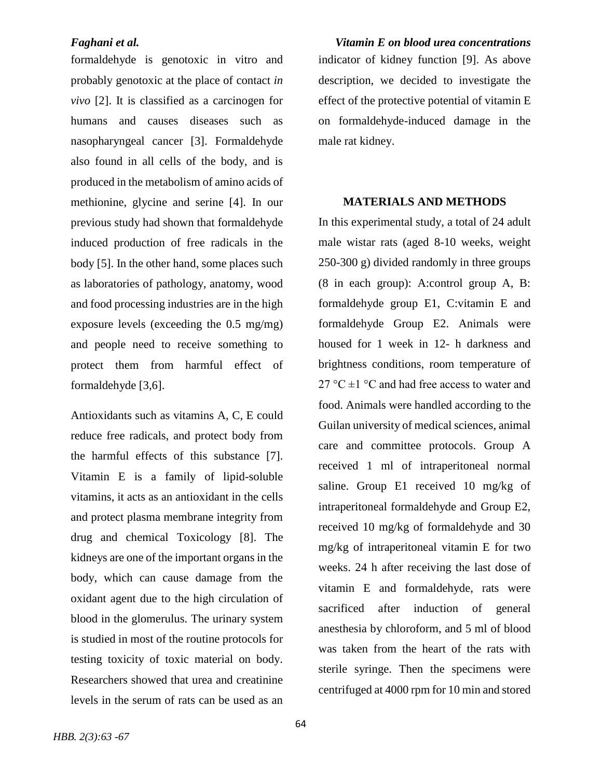formaldehyde is genotoxic in vitro and probably genotoxic at the place of contact *in vivo* [2]. It is classified as a carcinogen for humans and causes diseases such as nasopharyngeal cancer [3]. Formaldehyde also found in all cells of the body, and is produced in the metabolism of amino acids of methionine, glycine and serine [4]. In our previous study had shown that formaldehyde induced production of free radicals in the body [5]. In the other hand, some places such as laboratories of pathology, anatomy, wood and food processing industries are in the high exposure levels (exceeding the 0.5 mg/mg) and people need to receive something to protect them from harmful effect of formaldehyde [3,6].

Antioxidants such as vitamins A, C, E could reduce free radicals, and protect body from the harmful effects of this substance [7]. Vitamin E is a family of lipid-soluble vitamins, it acts as an antioxidant in the cells and protect plasma membrane integrity from drug and chemical Toxicology [8]. The kidneys are one of the important organs in the body, which can cause damage from the oxidant agent due to the high circulation of blood in the glomerulus. The urinary system is studied in most of the routine protocols for testing toxicity of toxic material on body. Researchers showed that urea and creatinine levels in the serum of rats can be used as an

*Faghani et al. Vitamin E on blood urea concentrations* indicator of kidney function [9]. As above description, we decided to investigate the effect of the protective potential of vitamin E on formaldehyde-induced damage in the male rat kidney.

## **MATERIALS AND METHODS**

In this experimental study, a total of 24 adult male wistar rats (aged 8-10 weeks, weight 250-300 g) divided randomly in three groups (8 in each group): A:control group A, B: formaldehyde group E1, C:vitamin E and formaldehyde Group E2. Animals were housed for 1 week in 12- h darkness and brightness conditions, room temperature of 27 °C  $\pm$ 1 °C and had free access to water and food. Animals were handled according to the Guilan university of medical sciences, animal care and committee protocols. Group A received 1 ml of intraperitoneal normal saline. Group E1 received 10 mg/kg of intraperitoneal formaldehyde and Group E2, received 10 mg/kg of formaldehyde and 30 mg/kg of intraperitoneal vitamin E for two weeks. 24 h after receiving the last dose of vitamin E and formaldehyde, rats were sacrificed after induction of general anesthesia by chloroform, and 5 ml of blood was taken from the heart of the rats with sterile syringe. Then the specimens were centrifuged at 4000 rpm for 10 min and stored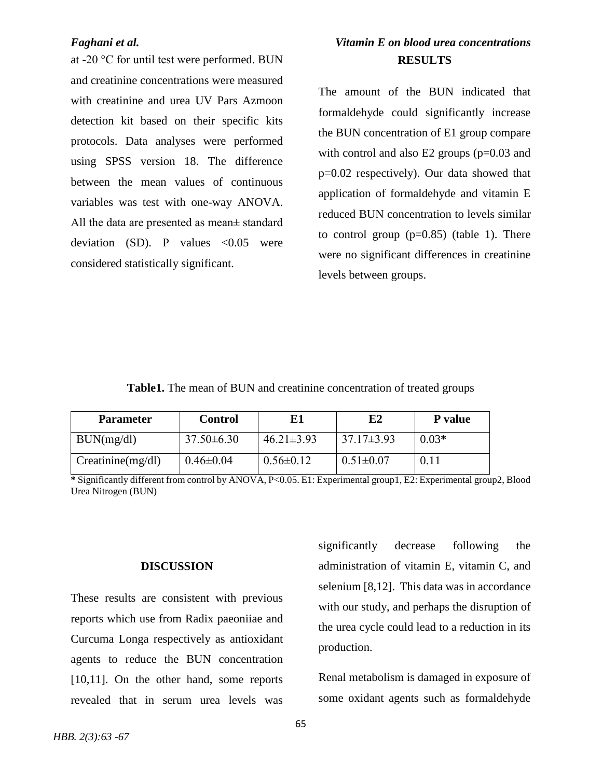at -20 °C for until test were performed. BUN and creatinine concentrations were measured with creatinine and urea UV Pars Azmoon detection kit based on their specific kits protocols. Data analyses were performed using SPSS version 18. The difference between the mean values of continuous variables was test with one-way ANOVA. All the data are presented as mean± standard deviation (SD). P values  $< 0.05$  were considered statistically significant.

# *Faghani et al. Vitamin E on blood urea concentrations* **RESULTS**

The amount of the BUN indicated that formaldehyde could significantly increase the BUN concentration of E1 group compare with control and also E2 groups (p=0.03 and p=0.02 respectively). Our data showed that application of formaldehyde and vitamin E reduced BUN concentration to levels similar to control group  $(p=0.85)$  (table 1). There were no significant differences in creatinine levels between groups.

## **Table1.** The mean of BUN and creatinine concentration of treated groups

| <b>Parameter</b>        | <b>Control</b>  | E1               | E2               | P value |
|-------------------------|-----------------|------------------|------------------|---------|
| BUN(mg/dl)              | $37.50\pm 6.30$ | $46.21 \pm 3.93$ | $37.17 \pm 3.93$ | $0.03*$ |
| $C$ reatinine $(mg/dl)$ | $0.46 \pm 0.04$ | $0.56 \pm 0.12$  | $0.51 \pm 0.07$  |         |

**\*** Significantly different from control by ANOVA, P<0.05. E1: Experimental group1, E2: Experimental group2, Blood Urea Nitrogen (BUN)

### **DISCUSSION**

These results are consistent with previous reports which use from Radix paeoniiae and Curcuma Longa respectively as antioxidant agents to reduce the BUN concentration [10,11]. On the other hand, some reports revealed that in serum urea levels was

significantly decrease following the administration of vitamin E, vitamin C, and selenium [8,12]. This data was in accordance with our study, and perhaps the disruption of the urea cycle could lead to a reduction in its production.

Renal metabolism is damaged in exposure of some oxidant agents such as formaldehyde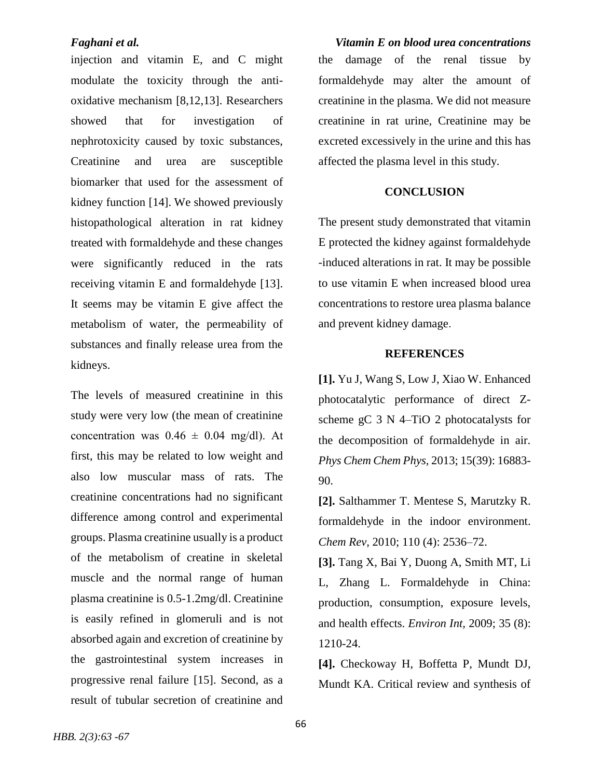injection and vitamin E, and C might modulate the toxicity through the antioxidative mechanism [8,12,13]. Researchers showed that for investigation of nephrotoxicity caused by toxic substances, Creatinine and urea are susceptible biomarker that used for the assessment of kidney function [14]. We showed previously histopathological alteration in rat kidney treated with formaldehyde and these changes were significantly reduced in the rats receiving vitamin E and formaldehyde [13]. It seems may be vitamin E give affect the metabolism of water, the permeability of substances and finally release urea from the kidneys.

The levels of measured creatinine in this study were very low (the mean of creatinine concentration was  $0.46 \pm 0.04$  mg/dl). At first, this may be related to low weight and also low muscular mass of rats. The creatinine concentrations had no significant difference among control and experimental groups. Plasma creatinine usually is a product of the metabolism of creatine in skeletal muscle and the normal range of human plasma creatinine is 0.5-1.2mg/dl. Creatinine is easily refined in glomeruli and is not absorbed again and excretion of creatinine by the gastrointestinal system increases in progressive renal failure [15]. Second, as a result of tubular secretion of creatinine and

*Faghani et al. Vitamin E on blood urea concentrations* the damage of the renal tissue by formaldehyde may alter the amount of creatinine in the plasma. We did not measure creatinine in rat urine, Creatinine may be excreted excessively in the urine and this has affected the plasma level in this study.

## **CONCLUSION**

The present study demonstrated that vitamin E protected the kidney against formaldehyde -induced alterations in rat. It may be possible to use vitamin E when increased blood urea concentrations to restore urea plasma balance and prevent kidney damage.

### **REFERENCES**

**[1].** Yu J, Wang S, Low J, Xiao W. Enhanced photocatalytic performance of direct Zscheme gC 3 N 4–TiO 2 photocatalysts for the decomposition of formaldehyde in air. *Phys Chem Chem Phys,* 2013; 15(39): 16883- 90.

**[2].** [Salthammer](https://pubs.acs.org/author/Salthammer%2C+Tunga) T. [Mentese](https://pubs.acs.org/author/Mentese%2C+Sibel) S, [Marutzky](https://pubs.acs.org/author/Marutzky%2C+Rainer) R. formaldehyde in the indoor environment. *Chem Rev,* 2010; 110 (4): 2536–72.

**[3].** [Tang X,](https://www.ncbi.nlm.nih.gov/pubmed/?term=Tang%20X%5BAuthor%5D&cauthor=true&cauthor_uid=19589601) [Bai Y,](https://www.ncbi.nlm.nih.gov/pubmed/?term=Bai%20Y%5BAuthor%5D&cauthor=true&cauthor_uid=19589601) [Duong A,](https://www.ncbi.nlm.nih.gov/pubmed/?term=Duong%20A%5BAuthor%5D&cauthor=true&cauthor_uid=19589601) [Smith MT,](https://www.ncbi.nlm.nih.gov/pubmed/?term=Smith%20MT%5BAuthor%5D&cauthor=true&cauthor_uid=19589601) [Li](https://www.ncbi.nlm.nih.gov/pubmed/?term=Li%20L%5BAuthor%5D&cauthor=true&cauthor_uid=19589601)  [L,](https://www.ncbi.nlm.nih.gov/pubmed/?term=Li%20L%5BAuthor%5D&cauthor=true&cauthor_uid=19589601) [Zhang L.](https://www.ncbi.nlm.nih.gov/pubmed/?term=Zhang%20L%5BAuthor%5D&cauthor=true&cauthor_uid=19589601) Formaldehyde in China: production, consumption, exposure levels, and health effects. *[Environ Int,](https://www.ncbi.nlm.nih.gov/pubmed/?term=Formaldehyde+in+China%3A+production%2C++consumption%2C+exposure+levels%2C+and+health+effects)* 2009; 35 (8): 1210-24.

**[4].** [Checkoway H,](https://www.ncbi.nlm.nih.gov/pubmed/?term=Checkoway%20H%5BAuthor%5D&cauthor=true&cauthor_uid=22983399) [Boffetta P,](https://www.ncbi.nlm.nih.gov/pubmed/?term=Boffetta%20P%5BAuthor%5D&cauthor=true&cauthor_uid=22983399) [Mundt DJ,](https://www.ncbi.nlm.nih.gov/pubmed/?term=Mundt%20DJ%5BAuthor%5D&cauthor=true&cauthor_uid=22983399) [Mundt KA.](https://www.ncbi.nlm.nih.gov/pubmed/?term=Mundt%20KA%5BAuthor%5D&cauthor=true&cauthor_uid=22983399) Critical review and synthesis of